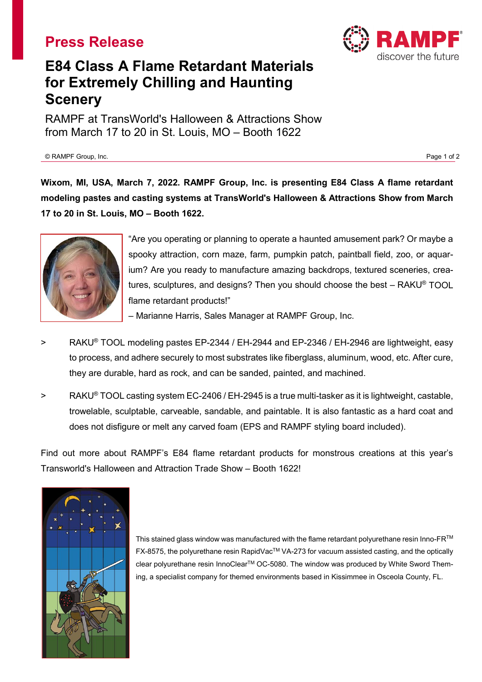## **Press Release**



# **E84 Class A Flame Retardant Materials for Extremely Chilling and Haunting Scenery**

RAMPF at TransWorld's Halloween & Attractions Show from March 17 to 20 in St. Louis, MO – Booth 1622

© RAMPF Group, Inc. Page 1 of 2

**Wixom, MI, USA, March 7, 2022. RAMPF Group, Inc. is presenting E84 Class A flame retardant modeling pastes and casting systems at TransWorld's Halloween & Attractions Show from March 17 to 20 in St. Louis, MO – Booth 1622.**



"Are you operating or planning to operate a haunted amusement park? Or maybe a spooky attraction, corn maze, farm, pumpkin patch, paintball field, zoo, or aquarium? Are you ready to manufacture amazing backdrops, textured sceneries, creatures, sculptures, and designs? Then you should choose the best – RAKU® TOOL flame retardant products!"

– Marianne Harris, Sales Manager at RAMPF Group, Inc.

- > RAKU® TOOL modeling pastes EP-2344 / EH-2944 and EP-2346 / EH-2946 are lightweight, easy to process, and adhere securely to most substrates like fiberglass, aluminum, wood, etc. After cure, they are durable, hard as rock, and can be sanded, painted, and machined.
- > RAKU® TOOL casting system EC-2406 / EH-2945 is a true multi-tasker as it is lightweight, castable, trowelable, sculptable, carveable, sandable, and paintable. It is also fantastic as a hard coat and does not disfigure or melt any carved foam (EPS and RAMPF styling board included).

Find out more about RAMPF's E84 flame retardant products for monstrous creations at this year's Transworld's Halloween and Attraction Trade Show – Booth 1622!



This stained glass window was manufactured with the flame retardant polyurethane resin Inno-FR™ FX-8575, the polyurethane resin RapidVacTM VA-273 for vacuum assisted casting, and the optically clear polyurethane resin InnoClearTM OC-5080. The window was produced by White Sword Theming, a specialist company for themed environments based in Kissimmee in Osceola County, FL.